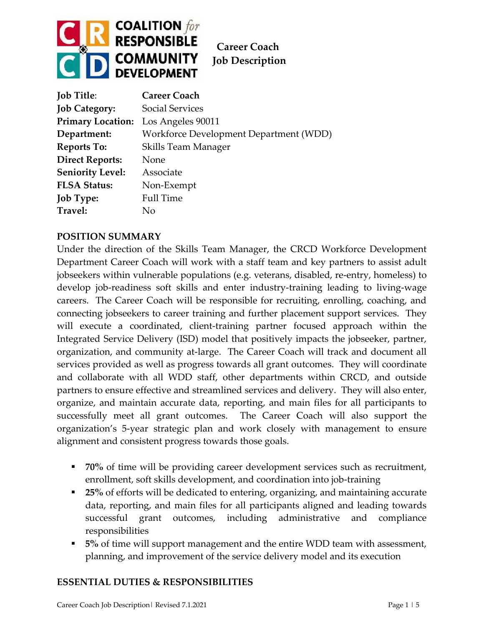

| <b>Job Title:</b>                   | <b>Career Coach</b>                    |
|-------------------------------------|----------------------------------------|
| <b>Job Category:</b>                | <b>Social Services</b>                 |
| Primary Location: Los Angeles 90011 |                                        |
| Department:                         | Workforce Development Department (WDD) |
| <b>Reports To:</b>                  | Skills Team Manager                    |
| <b>Direct Reports:</b>              | None                                   |
| <b>Seniority Level:</b>             | Associate                              |
| <b>FLSA Status:</b>                 | Non-Exempt                             |
| <b>Job Type:</b>                    | <b>Full Time</b>                       |
| Travel:                             | Nο                                     |

#### **POSITION SUMMARY**

Under the direction of the Skills Team Manager, the CRCD Workforce Development Department Career Coach will work with a staff team and key partners to assist adult jobseekers within vulnerable populations (e.g. veterans, disabled, re-entry, homeless) to develop job-readiness soft skills and enter industry-training leading to living-wage careers. The Career Coach will be responsible for recruiting, enrolling, coaching, and connecting jobseekers to career training and further placement support services. They will execute a coordinated, client-training partner focused approach within the Integrated Service Delivery (ISD) model that positively impacts the jobseeker, partner, organization, and community at-large. The Career Coach will track and document all services provided as well as progress towards all grant outcomes. They will coordinate and collaborate with all WDD staff, other departments within CRCD, and outside partners to ensure effective and streamlined services and delivery. They will also enter, organize, and maintain accurate data, reporting, and main files for all participants to successfully meet all grant outcomes. The Career Coach will also support the organization's 5-year strategic plan and work closely with management to ensure alignment and consistent progress towards those goals.

- **70%** of time will be providing career development services such as recruitment, enrollment, soft skills development, and coordination into job-training
- **25%** of efforts will be dedicated to entering, organizing, and maintaining accurate data, reporting, and main files for all participants aligned and leading towards successful grant outcomes, including administrative and compliance responsibilities
- **5%** of time will support management and the entire WDD team with assessment, planning, and improvement of the service delivery model and its execution

## **ESSENTIAL DUTIES & RESPONSIBILITIES**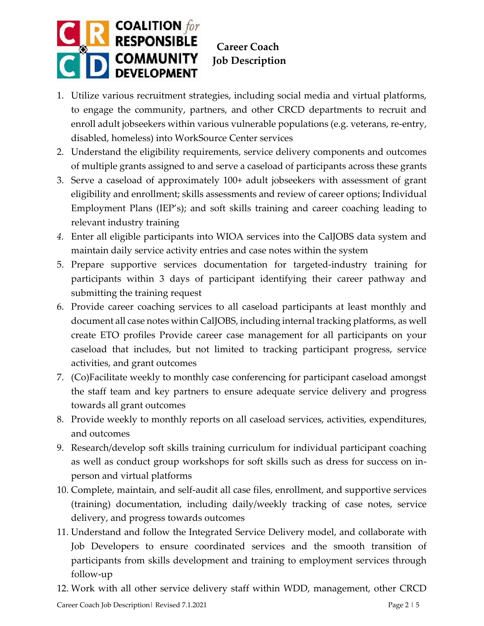

- 1. Utilize various recruitment strategies, including social media and virtual platforms, to engage the community, partners, and other CRCD departments to recruit and enroll adult jobseekers within various vulnerable populations (e.g. veterans, re-entry, disabled, homeless) into WorkSource Center services
- 2. Understand the eligibility requirements, service delivery components and outcomes of multiple grants assigned to and serve a caseload of participants across these grants
- 3. Serve a caseload of approximately 100+ adult jobseekers with assessment of grant eligibility and enrollment; skills assessments and review of career options; Individual Employment Plans (IEP's); and soft skills training and career coaching leading to relevant industry training
- *4.* Enter all eligible participants into WIOA services into the CalJOBS data system and maintain daily service activity entries and case notes within the system
- 5. Prepare supportive services documentation for targeted-industry training for participants within 3 days of participant identifying their career pathway and submitting the training request
- 6. Provide career coaching services to all caseload participants at least monthly and document all case notes within CalJOBS, including internal tracking platforms, as well create ETO profiles Provide career case management for all participants on your caseload that includes, but not limited to tracking participant progress, service activities, and grant outcomes
- 7. (Co)Facilitate weekly to monthly case conferencing for participant caseload amongst the staff team and key partners to ensure adequate service delivery and progress towards all grant outcomes
- 8. Provide weekly to monthly reports on all caseload services, activities, expenditures, and outcomes
- 9. Research/develop soft skills training curriculum for individual participant coaching as well as conduct group workshops for soft skills such as dress for success on inperson and virtual platforms
- 10. Complete, maintain, and self-audit all case files, enrollment, and supportive services (training) documentation, including daily/weekly tracking of case notes, service delivery, and progress towards outcomes
- 11. Understand and follow the Integrated Service Delivery model, and collaborate with Job Developers to ensure coordinated services and the smooth transition of participants from skills development and training to employment services through follow-up
- 12. Work with all other service delivery staff within WDD, management, other CRCD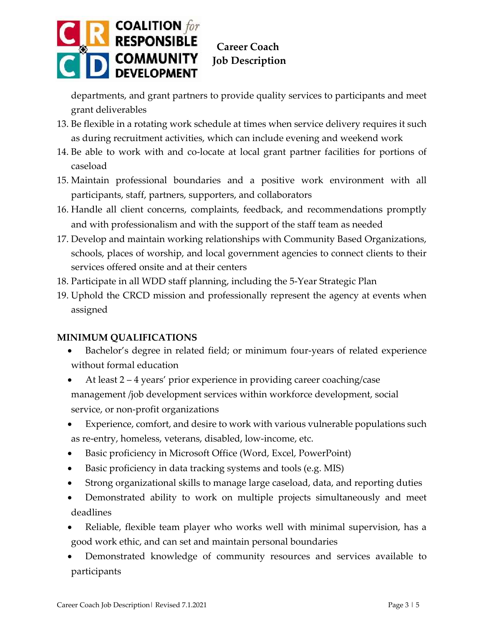

departments, and grant partners to provide quality services to participants and meet grant deliverables

- 13. Be flexible in a rotating work schedule at times when service delivery requires it such as during recruitment activities, which can include evening and weekend work
- 14. Be able to work with and co-locate at local grant partner facilities for portions of caseload
- 15. Maintain professional boundaries and a positive work environment with all participants, staff, partners, supporters, and collaborators
- 16. Handle all client concerns, complaints, feedback, and recommendations promptly and with professionalism and with the support of the staff team as needed
- 17. Develop and maintain working relationships with Community Based Organizations, schools, places of worship, and local government agencies to connect clients to their services offered onsite and at their centers
- 18. Participate in all WDD staff planning, including the 5-Year Strategic Plan
- 19. Uphold the CRCD mission and professionally represent the agency at events when assigned

## **MINIMUM QUALIFICATIONS**

- Bachelor's degree in related field; or minimum four-years of related experience without formal education
- At least 2 4 years' prior experience in providing career coaching/case management /job development services within workforce development, social service, or non-profit organizations
- Experience, comfort, and desire to work with various vulnerable populations such as re-entry, homeless, veterans, disabled, low-income, etc.
- Basic proficiency in Microsoft Office (Word, Excel, PowerPoint)
- Basic proficiency in data tracking systems and tools (e.g. MIS)
- Strong organizational skills to manage large caseload, data, and reporting duties
- Demonstrated ability to work on multiple projects simultaneously and meet deadlines
- Reliable, flexible team player who works well with minimal supervision, has a good work ethic, and can set and maintain personal boundaries
- Demonstrated knowledge of community resources and services available to participants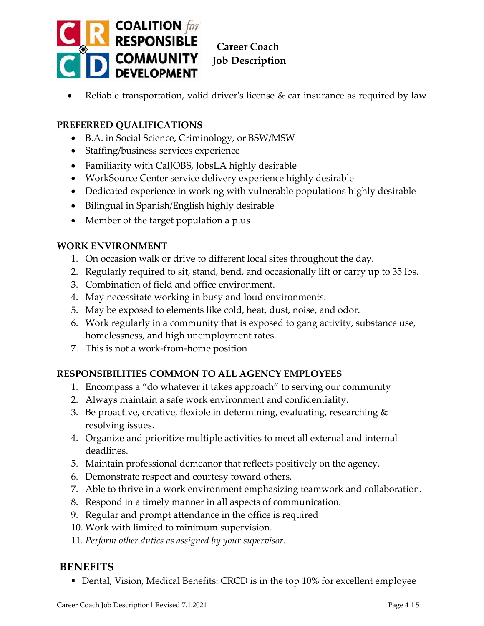

Reliable transportation, valid driver's license  $\&$  car insurance as required by law

## **PREFERRED QUALIFICATIONS**

- B.A. in Social Science, Criminology, or BSW/MSW
- Staffing/business services experience
- Familiarity with CalJOBS, JobsLA highly desirable
- WorkSource Center service delivery experience highly desirable
- Dedicated experience in working with vulnerable populations highly desirable
- Bilingual in Spanish/English highly desirable
- Member of the target population a plus

#### **WORK ENVIRONMENT**

- 1. On occasion walk or drive to different local sites throughout the day.
- 2. Regularly required to sit, stand, bend, and occasionally lift or carry up to 35 lbs.
- 3. Combination of field and office environment.
- 4. May necessitate working in busy and loud environments.
- 5. May be exposed to elements like cold, heat, dust, noise, and odor.
- 6. Work regularly in a community that is exposed to gang activity, substance use, homelessness, and high unemployment rates.
- 7. This is not a work-from-home position

# **RESPONSIBILITIES COMMON TO ALL AGENCY EMPLOYEES**

- 1. Encompass a "do whatever it takes approach" to serving our community
- 2. Always maintain a safe work environment and confidentiality.
- 3. Be proactive, creative, flexible in determining, evaluating, researching & resolving issues.
- 4. Organize and prioritize multiple activities to meet all external and internal deadlines.
- 5. Maintain professional demeanor that reflects positively on the agency.
- 6. Demonstrate respect and courtesy toward others.
- 7. Able to thrive in a work environment emphasizing teamwork and collaboration.
- 8. Respond in a timely manner in all aspects of communication.
- 9. Regular and prompt attendance in the office is required
- 10. Work with limited to minimum supervision.
- 11. *Perform other duties as assigned by your supervisor.*

# **BENEFITS**

■ Dental, Vision, Medical Benefits: CRCD is in the top 10% for excellent employee